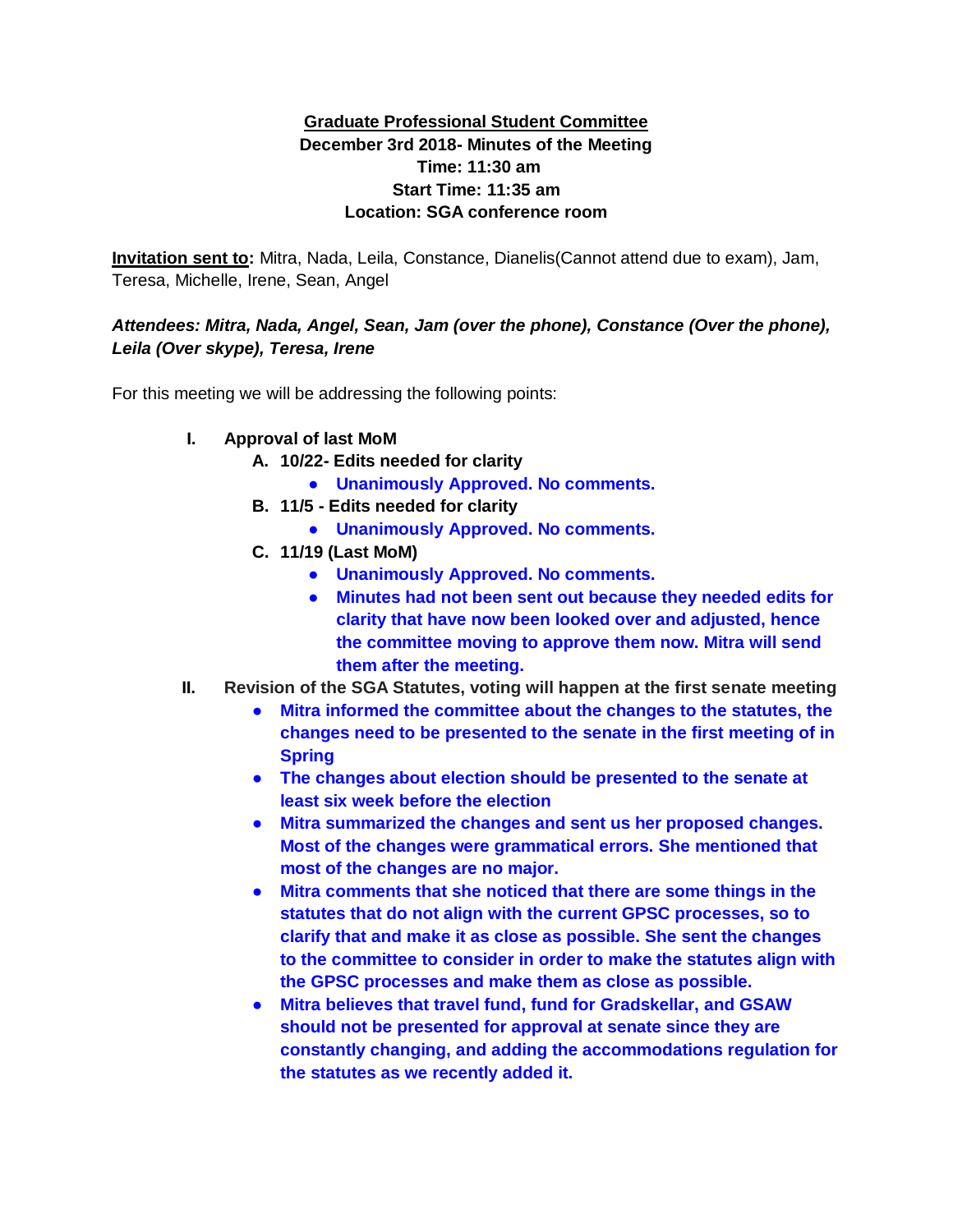## **Graduate Professional Student Committee December 3rd 2018- Minutes of the Meeting Time: 11:30 am Start Time: 11:35 am Location: SGA conference room**

**Invitation sent to:** Mitra, Nada, Leila, Constance, Dianelis(Cannot attend due to exam), Jam, Teresa, Michelle, Irene, Sean, Angel

## *Attendees: Mitra, Nada, Angel, Sean, Jam (over the phone), Constance (Over the phone), Leila (Over skype), Teresa, Irene*

For this meeting we will be addressing the following points:

- **I. Approval of last MoM**
	- **A. 10/22- Edits needed for clarity**
		- **Unanimously Approved. No comments.**
	- **B. 11/5 - Edits needed for clarity**
		- **Unanimously Approved. No comments.**
	- **C. 11/19 (Last MoM)**
		- **Unanimously Approved. No comments.**
		- **Minutes had not been sent out because they needed edits for clarity that have now been looked over and adjusted, hence the committee moving to approve them now. Mitra will send them after the meeting.**
- **II. Revision of the SGA Statutes, voting will happen at the first senate meeting**
	- **Mitra informed the committee about the changes to the statutes, the changes need to be presented to the senate in the first meeting of in Spring**
	- **The changes about election should be presented to the senate at least six week before the election**
	- **Mitra summarized the changes and sent us her proposed changes. Most of the changes were grammatical errors. She mentioned that most of the changes are no major.**
	- **Mitra comments that she noticed that there are some things in the statutes that do not align with the current GPSC processes, so to clarify that and make it as close as possible. She sent the changes to the committee to consider in order to make the statutes align with the GPSC processes and make them as close as possible.**
	- **Mitra believes that travel fund, fund for Gradskellar, and GSAW should not be presented for approval at senate since they are constantly changing, and adding the accommodations regulation for the statutes as we recently added it.**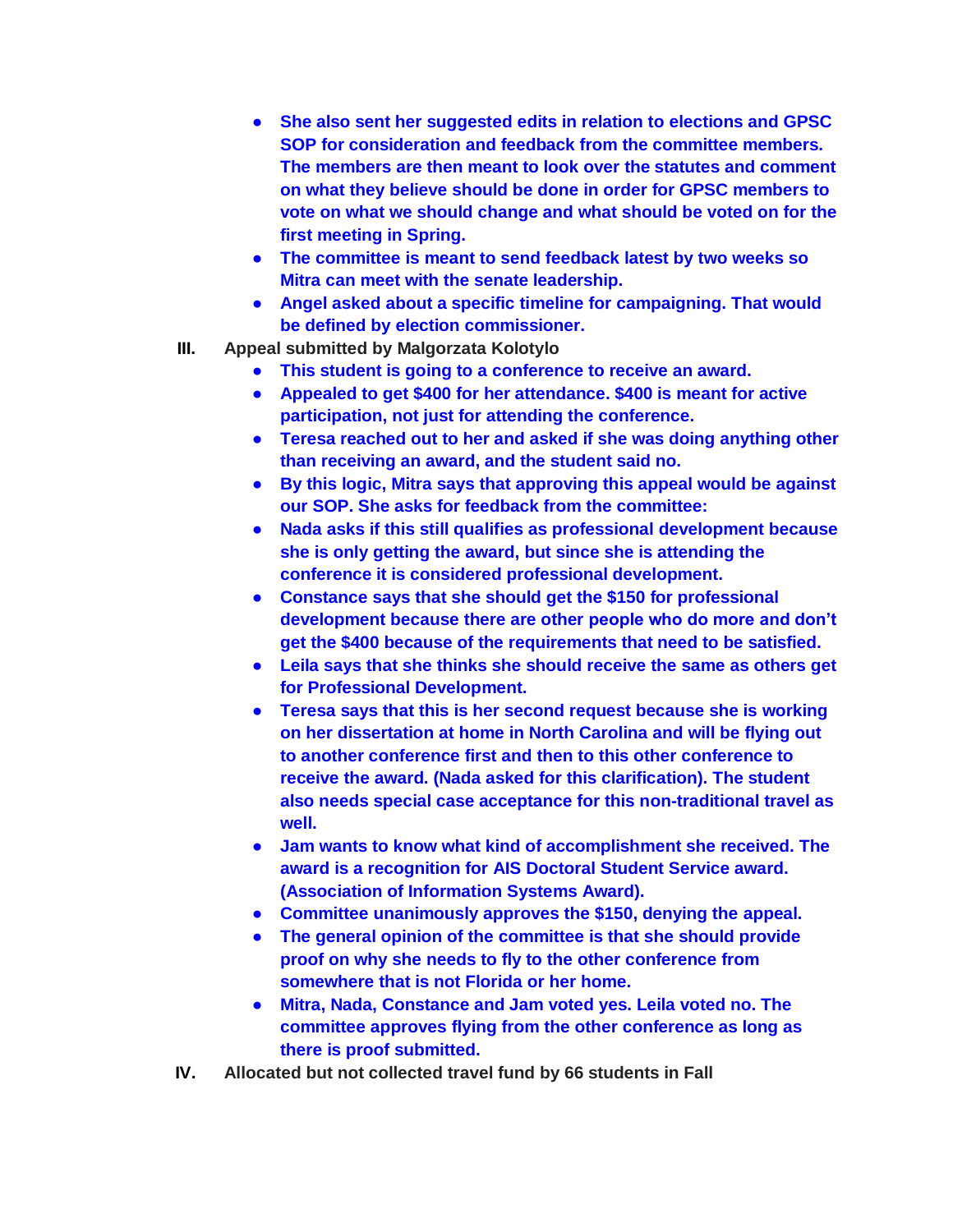- **She also sent her suggested edits in relation to elections and GPSC SOP for consideration and feedback from the committee members. The members are then meant to look over the statutes and comment on what they believe should be done in order for GPSC members to vote on what we should change and what should be voted on for the first meeting in Spring.**
- **The committee is meant to send feedback latest by two weeks so Mitra can meet with the senate leadership.**
- **Angel asked about a specific timeline for campaigning. That would be defined by election commissioner.**
- **III. Appeal submitted by Malgorzata Kolotylo**
	- **This student is going to a conference to receive an award.**
	- **Appealed to get \$400 for her attendance. \$400 is meant for active participation, not just for attending the conference.**
	- **Teresa reached out to her and asked if she was doing anything other than receiving an award, and the student said no.**
	- **By this logic, Mitra says that approving this appeal would be against our SOP. She asks for feedback from the committee:**
	- **Nada asks if this still qualifies as professional development because she is only getting the award, but since she is attending the conference it is considered professional development.**
	- **Constance says that she should get the \$150 for professional development because there are other people who do more and don't get the \$400 because of the requirements that need to be satisfied.**
	- **Leila says that she thinks she should receive the same as others get for Professional Development.**
	- **Teresa says that this is her second request because she is working on her dissertation at home in North Carolina and will be flying out to another conference first and then to this other conference to receive the award. (Nada asked for this clarification). The student also needs special case acceptance for this non-traditional travel as well.**
	- **Jam wants to know what kind of accomplishment she received. The award is a recognition for AIS Doctoral Student Service award. (Association of Information Systems Award).**
	- **Committee unanimously approves the \$150, denying the appeal.**
	- **The general opinion of the committee is that she should provide proof on why she needs to fly to the other conference from somewhere that is not Florida or her home.**
	- **Mitra, Nada, Constance and Jam voted yes. Leila voted no. The committee approves flying from the other conference as long as there is proof submitted.**
- **IV. Allocated but not collected travel fund by 66 students in Fall**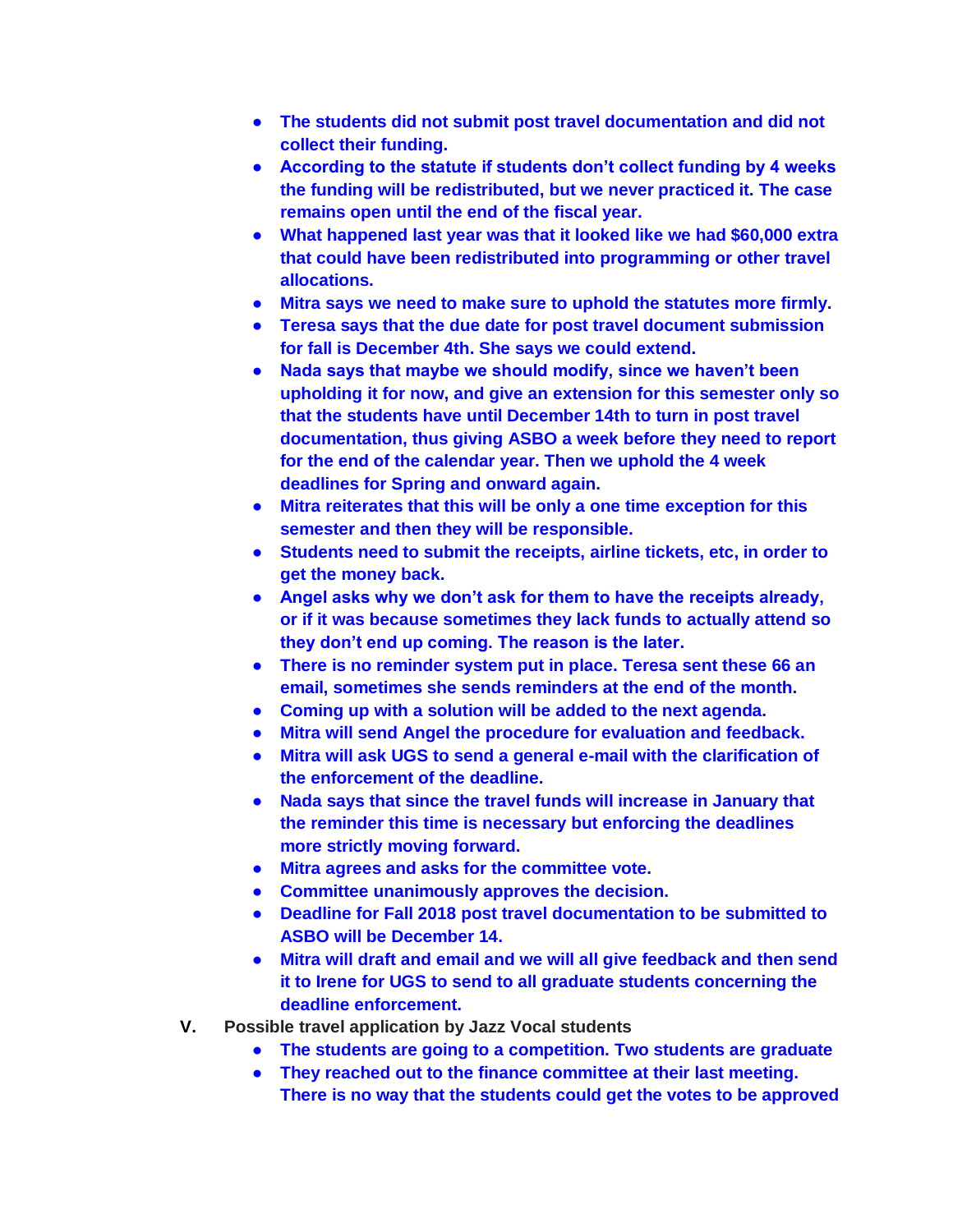- **The students did not submit post travel documentation and did not collect their funding.**
- **According to the statute if students don't collect funding by 4 weeks the funding will be redistributed, but we never practiced it. The case remains open until the end of the fiscal year.**
- **What happened last year was that it looked like we had \$60,000 extra that could have been redistributed into programming or other travel allocations.**
- **Mitra says we need to make sure to uphold the statutes more firmly.**
- **Teresa says that the due date for post travel document submission for fall is December 4th. She says we could extend.**
- **Nada says that maybe we should modify, since we haven't been upholding it for now, and give an extension for this semester only so that the students have until December 14th to turn in post travel documentation, thus giving ASBO a week before they need to report for the end of the calendar year. Then we uphold the 4 week deadlines for Spring and onward again.**
- **Mitra reiterates that this will be only a one time exception for this semester and then they will be responsible.**
- **Students need to submit the receipts, airline tickets, etc, in order to get the money back.**
- **Angel asks why we don't ask for them to have the receipts already, or if it was because sometimes they lack funds to actually attend so they don't end up coming. The reason is the later.**
- **There is no reminder system put in place. Teresa sent these 66 an email, sometimes she sends reminders at the end of the month.**
- **Coming up with a solution will be added to the next agenda.**
- **Mitra will send Angel the procedure for evaluation and feedback.**
- **Mitra will ask UGS to send a general e-mail with the clarification of the enforcement of the deadline.**
- **Nada says that since the travel funds will increase in January that the reminder this time is necessary but enforcing the deadlines more strictly moving forward.**
- **Mitra agrees and asks for the committee vote.**
- **Committee unanimously approves the decision.**
- **Deadline for Fall 2018 post travel documentation to be submitted to ASBO will be December 14.**
- **Mitra will draft and email and we will all give feedback and then send it to Irene for UGS to send to all graduate students concerning the deadline enforcement.**
- **V. Possible travel application by Jazz Vocal students**
	- **The students are going to a competition. Two students are graduate**
	- **They reached out to the finance committee at their last meeting. There is no way that the students could get the votes to be approved**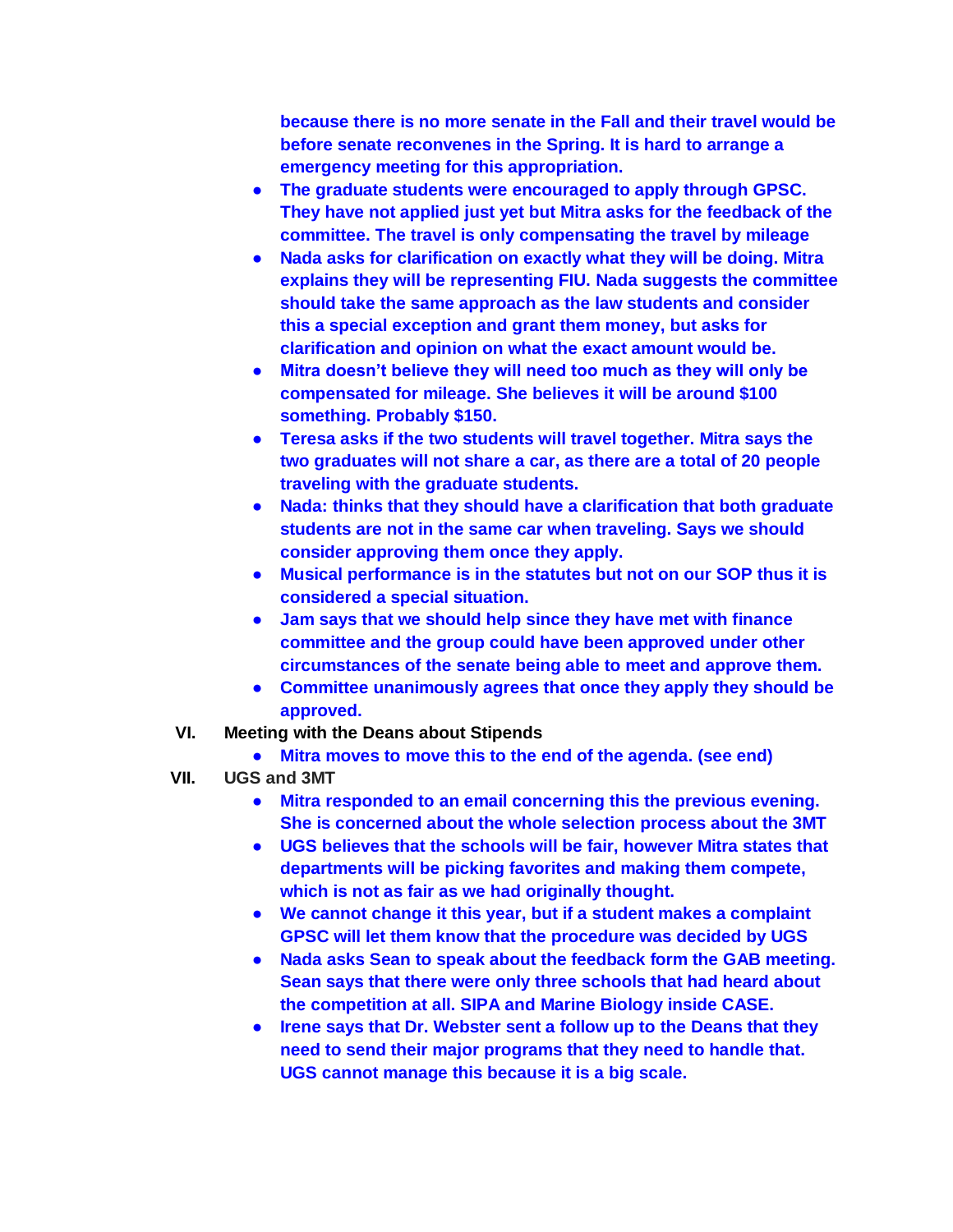**because there is no more senate in the Fall and their travel would be before senate reconvenes in the Spring. It is hard to arrange a emergency meeting for this appropriation.**

- **The graduate students were encouraged to apply through GPSC. They have not applied just yet but Mitra asks for the feedback of the committee. The travel is only compensating the travel by mileage**
- **Nada asks for clarification on exactly what they will be doing. Mitra explains they will be representing FIU. Nada suggests the committee should take the same approach as the law students and consider this a special exception and grant them money, but asks for clarification and opinion on what the exact amount would be.**
- **Mitra doesn't believe they will need too much as they will only be compensated for mileage. She believes it will be around \$100 something. Probably \$150.**
- **Teresa asks if the two students will travel together. Mitra says the two graduates will not share a car, as there are a total of 20 people traveling with the graduate students.**
- **Nada: thinks that they should have a clarification that both graduate students are not in the same car when traveling. Says we should consider approving them once they apply.**
- **Musical performance is in the statutes but not on our SOP thus it is considered a special situation.**
- **Jam says that we should help since they have met with finance committee and the group could have been approved under other circumstances of the senate being able to meet and approve them.**
- **Committee unanimously agrees that once they apply they should be approved.**
- **VI. Meeting with the Deans about Stipends**
	- **Mitra moves to move this to the end of the agenda. (see end)**
- **VII. UGS and 3MT**
	- **Mitra responded to an email concerning this the previous evening. She is concerned about the whole selection process about the 3MT**
	- **UGS believes that the schools will be fair, however Mitra states that departments will be picking favorites and making them compete, which is not as fair as we had originally thought.**
	- **We cannot change it this year, but if a student makes a complaint GPSC will let them know that the procedure was decided by UGS**
	- **Nada asks Sean to speak about the feedback form the GAB meeting. Sean says that there were only three schools that had heard about the competition at all. SIPA and Marine Biology inside CASE.**
	- **Irene says that Dr. Webster sent a follow up to the Deans that they need to send their major programs that they need to handle that. UGS cannot manage this because it is a big scale.**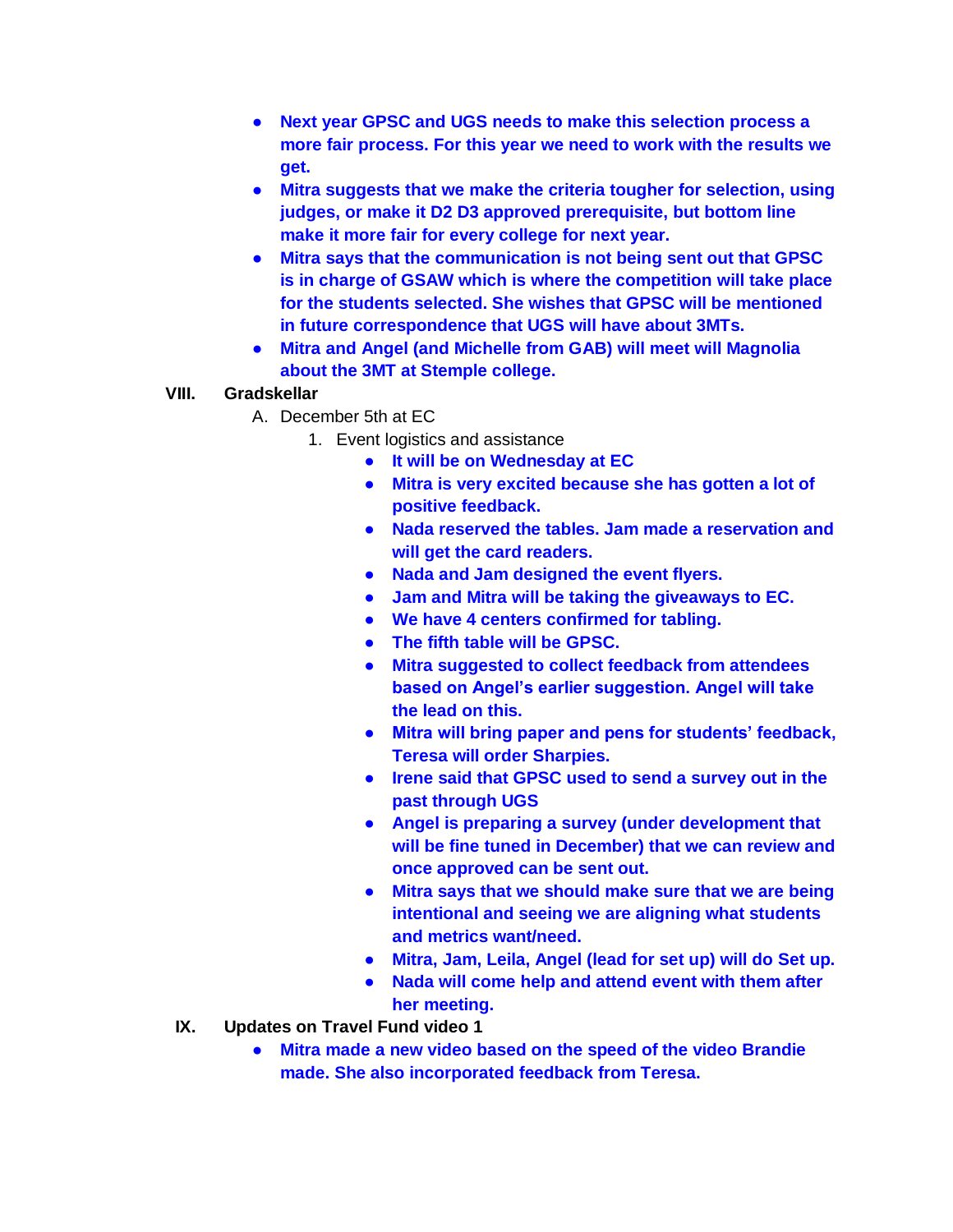- **Next year GPSC and UGS needs to make this selection process a more fair process. For this year we need to work with the results we get.**
- **Mitra suggests that we make the criteria tougher for selection, using judges, or make it D2 D3 approved prerequisite, but bottom line make it more fair for every college for next year.**
- **Mitra says that the communication is not being sent out that GPSC is in charge of GSAW which is where the competition will take place for the students selected. She wishes that GPSC will be mentioned in future correspondence that UGS will have about 3MTs.**
- **Mitra and Angel (and Michelle from GAB) will meet will Magnolia about the 3MT at Stemple college.**

## **VIII. Gradskellar**

- A. December 5th at EC
	- 1. Event logistics and assistance
		- **It will be on Wednesday at EC**
		- **Mitra is very excited because she has gotten a lot of positive feedback.**
		- **Nada reserved the tables. Jam made a reservation and will get the card readers.**
		- **Nada and Jam designed the event flyers.**
		- **Jam and Mitra will be taking the giveaways to EC.**
		- **We have 4 centers confirmed for tabling.**
		- **The fifth table will be GPSC.**
		- **Mitra suggested to collect feedback from attendees based on Angel's earlier suggestion. Angel will take the lead on this.**
		- **Mitra will bring paper and pens for students' feedback, Teresa will order Sharpies.**
		- **Irene said that GPSC used to send a survey out in the past through UGS**
		- **Angel is preparing a survey (under development that will be fine tuned in December) that we can review and once approved can be sent out.**
		- **Mitra says that we should make sure that we are being intentional and seeing we are aligning what students and metrics want/need.**
		- **Mitra, Jam, Leila, Angel (lead for set up) will do Set up.**
		- **Nada will come help and attend event with them after her meeting.**
- **IX. Updates on Travel Fund video 1**
	- **Mitra made a new video based on the speed of the video Brandie made. She also incorporated feedback from Teresa.**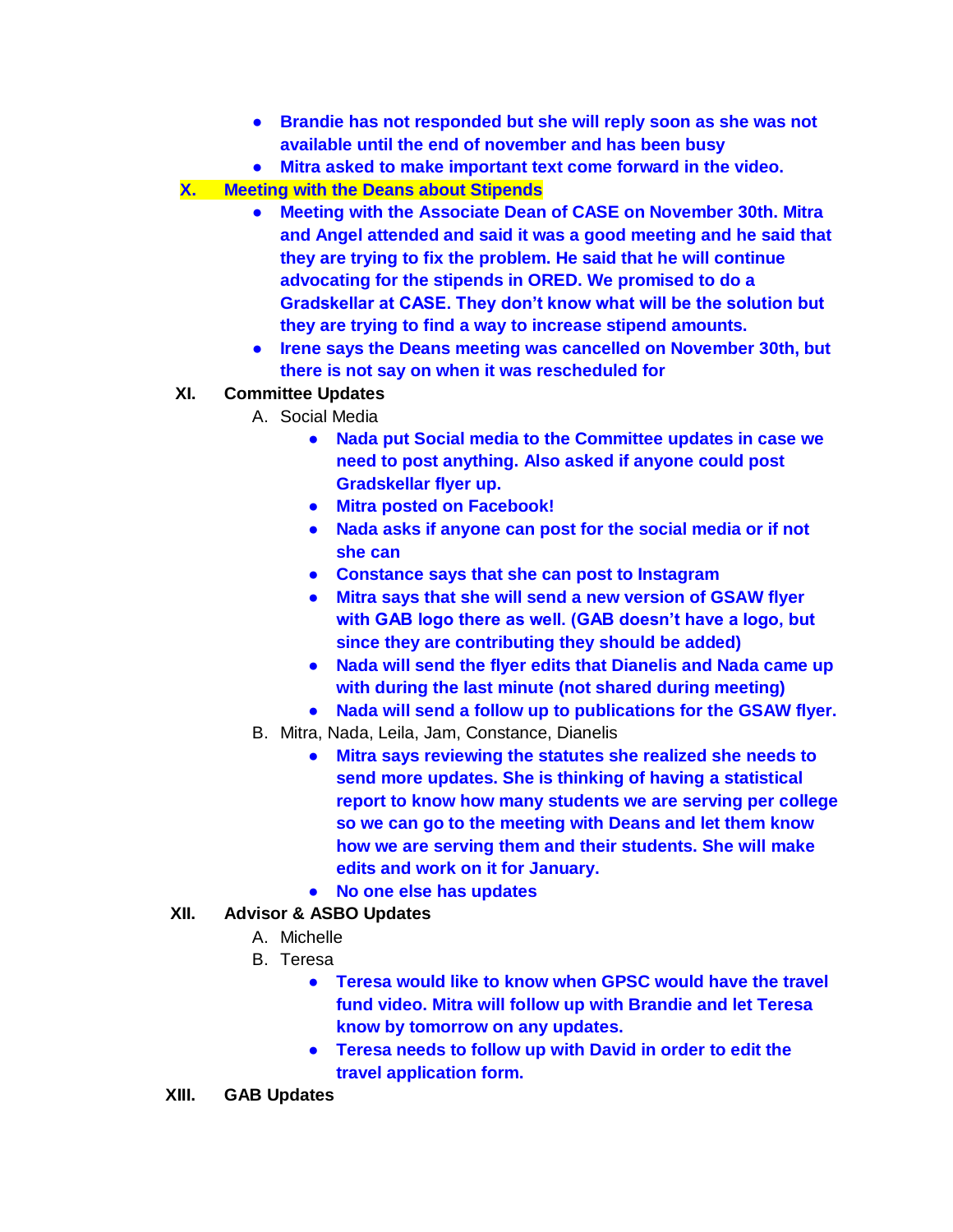- **Brandie has not responded but she will reply soon as she was not available until the end of november and has been busy**
- **Mitra asked to make important text come forward in the video.**
- **X. Meeting with the Deans about Stipends**
	- **Meeting with the Associate Dean of CASE on November 30th. Mitra and Angel attended and said it was a good meeting and he said that they are trying to fix the problem. He said that he will continue advocating for the stipends in ORED. We promised to do a Gradskellar at CASE. They don't know what will be the solution but they are trying to find a way to increase stipend amounts.**
	- **Irene says the Deans meeting was cancelled on November 30th, but there is not say on when it was rescheduled for**
- **XI. Committee Updates**
	- A. Social Media
		- **Nada put Social media to the Committee updates in case we need to post anything. Also asked if anyone could post Gradskellar flyer up.**
		- **Mitra posted on Facebook!**
		- **Nada asks if anyone can post for the social media or if not she can**
		- **Constance says that she can post to Instagram**
		- **Mitra says that she will send a new version of GSAW flyer with GAB logo there as well. (GAB doesn't have a logo, but since they are contributing they should be added)**
		- **Nada will send the flyer edits that Dianelis and Nada came up with during the last minute (not shared during meeting)**
		- **Nada will send a follow up to publications for the GSAW flyer.**
	- B. Mitra, Nada, Leila, Jam, Constance, Dianelis
		- **Mitra says reviewing the statutes she realized she needs to send more updates. She is thinking of having a statistical report to know how many students we are serving per college so we can go to the meeting with Deans and let them know how we are serving them and their students. She will make edits and work on it for January.**
		- **No one else has updates**

## **XII. Advisor & ASBO Updates**

- A. Michelle
- B. Teresa
	- **Teresa would like to know when GPSC would have the travel fund video. Mitra will follow up with Brandie and let Teresa know by tomorrow on any updates.**
	- **Teresa needs to follow up with David in order to edit the travel application form.**
- **XIII. GAB Updates**